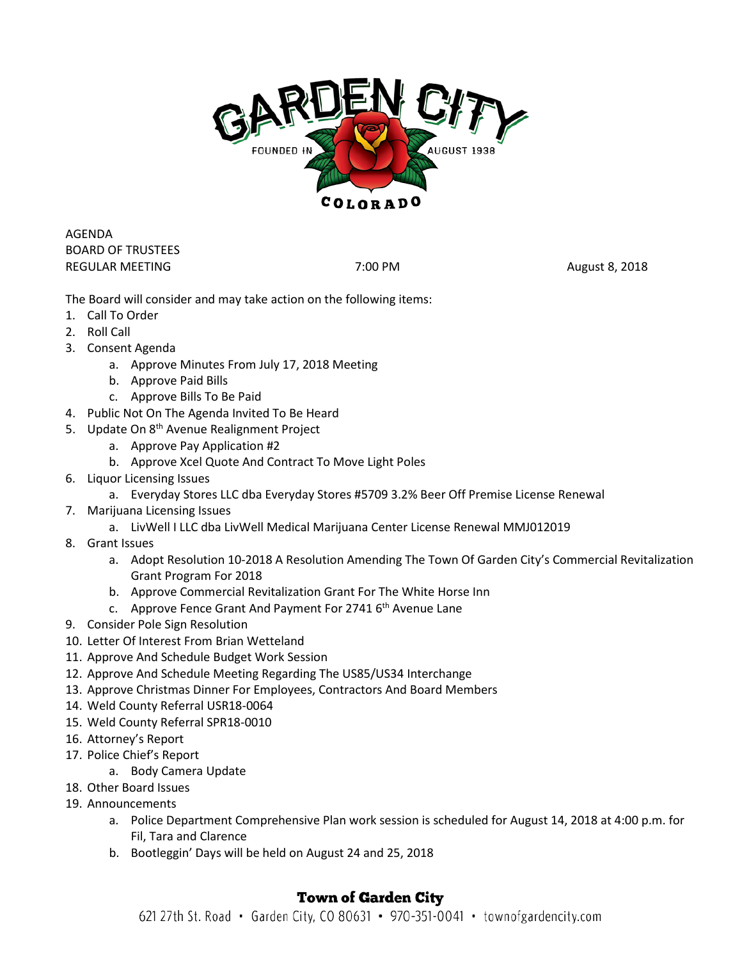

AGENDA BOARD OF TRUSTEES REGULAR MEETING **REGULAR MEETING REGULAR MEETING REGULAR MEETING** 

The Board will consider and may take action on the following items:

- 1. Call To Order
- 2. Roll Call
- 3. Consent Agenda
	- a. Approve Minutes From July 17, 2018 Meeting
	- b. Approve Paid Bills
	- c. Approve Bills To Be Paid
- 4. Public Not On The Agenda Invited To Be Heard
- 5. Update On 8<sup>th</sup> Avenue Realignment Project
	- a. Approve Pay Application #2
	- b. Approve Xcel Quote And Contract To Move Light Poles
- 6. Liquor Licensing Issues
	- a. Everyday Stores LLC dba Everyday Stores #5709 3.2% Beer Off Premise License Renewal
- 7. Marijuana Licensing Issues
	- a. LivWell I LLC dba LivWell Medical Marijuana Center License Renewal MMJ012019
- 8. Grant Issues
	- a. Adopt Resolution 10-2018 A Resolution Amending The Town Of Garden City's Commercial Revitalization Grant Program For 2018
	- b. Approve Commercial Revitalization Grant For The White Horse Inn
	- c. Approve Fence Grant And Payment For 2741 6<sup>th</sup> Avenue Lane
- 9. Consider Pole Sign Resolution
- 10. Letter Of Interest From Brian Wetteland
- 11. Approve And Schedule Budget Work Session
- 12. Approve And Schedule Meeting Regarding The US85/US34 Interchange
- 13. Approve Christmas Dinner For Employees, Contractors And Board Members
- 14. Weld County Referral USR18-0064
- 15. Weld County Referral SPR18-0010
- 16. Attorney's Report
- 17. Police Chief's Report
	- a. Body Camera Update
- 18. Other Board Issues
- 19. Announcements
	- a. Police Department Comprehensive Plan work session is scheduled for August 14, 2018 at 4:00 p.m. for Fil, Tara and Clarence
	- b. Bootleggin' Days will be held on August 24 and 25, 2018

## **Town of Garden City**